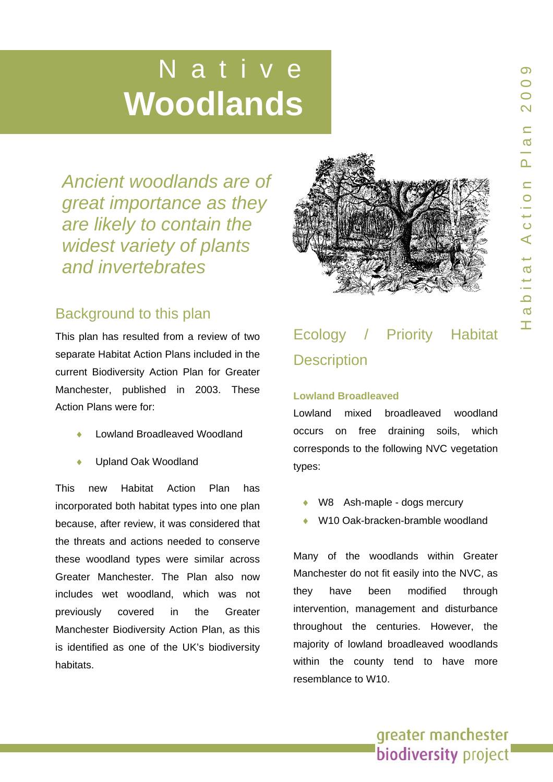# **in the Native Woodlands**

*great importance as they are likely to contain the widest variety of plants and invertebrates* 



This plan h as resulted from a revie w of two separate Habitat Action Plans included in the current Bio diversity Action Plan for Greater Manchester, published in 2003. These Action Plans were for:

- ♦ Lowland Broadleaved Woodland
- Upland Oak Woodland

This new Habitat Action Plan has incorporated both habitat types into one plan because, aft er review, it was conside red that the threats and actions needed to conserve these woodland types were similar across Greater Manchester. The Plan also no w includes w et woodland, which was not previously covered in the Greater Manchester Biodiversity Action Plan, as this is identified as one of the UK's biodiversity Ancient woodlands are of<br>great importance as they<br>are likely to contain the<br>widest variety of plants<br>and invertebrates<br>Background to this plan<br>This plan has resulted from a review of two<br>separate Habitat Action Plans inclu



# Ecology / Priority Habitat **Description**

#### **Lowland Broadleaved**

Lowland mixed broadleaved woodland occurs on free draining soils, which corresponds to the following NVC vegetation types:

- W8 Ash-maple dogs mercury
- ◆ W10 Oak-bracken-bramble woodland

Many of the woodlands within Greater Manchester do not fit easily into the NVC, as they have been modified through intervention, management and disturbance throughout the centuries. However, the majority of lowland broadleaved woodlands within the county tend to have more resemblance to W10.

greater manchester

biodiversity project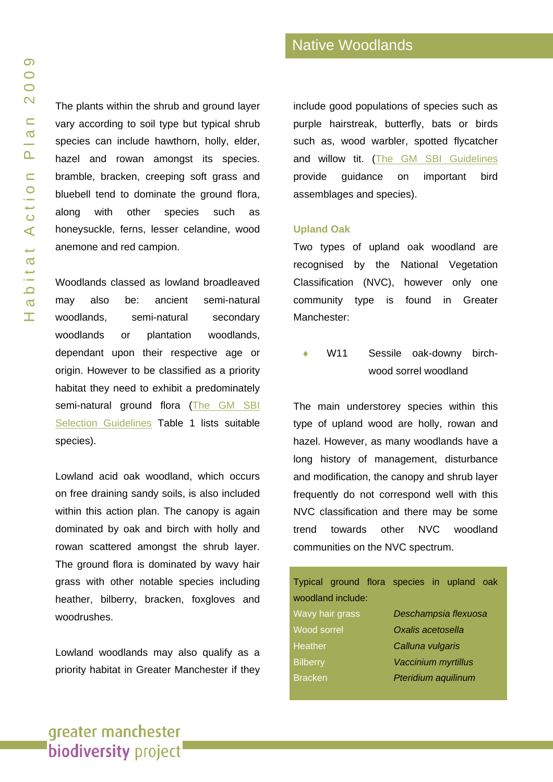The plants within the shrub and ground layer vary according to soil type but typical shrub species can include hawthorn, holly, elder, hazel and rowan amongst its species. bramble, bracken, creeping soft grass and bluebell tend to dominate the ground flora, along with other species such as honeysuckle, ferns, lesser celandine, wood anemone and red campion.

Woodlands classed as lowland broadleaved may also be: ancient semi-natural woodlands, semi-natural secondary woodlands or plantation woodlands, dependant upon their respective age or origin. However to be classified as a priority habitat they need to exhibit a predominately semi-natural ground flora (The GM SBI [Selection Guidelines](http://www.tameside.gov.uk/ecologyunit/sbi) Table 1 lists suitable species).

Lowland acid oak woodland, which occurs on free draining sandy soils, is also included within this action plan. The canopy is again dominated by oak and birch with holly and rowan scattered amongst the shrub layer. The ground flora is dominated by wavy hair grass with other notable species including heather, bilberry, bracken, foxgloves and woodrushes.

Lowland woodlands may also qualify as a priority habitat in Greater Manchester if they include good populations of species such as purple hairstreak, butterfly, bats or birds such as, wood warbler, spotted flycatcher and willow tit. [\(The GM SBI Guidelines](http://www.tameside.gov.uk/ecologyunit/sbi) provide guidance on important bird assemblages and species).

#### **Upland Oak**

Two types of upland oak woodland are recognised by the National Vegetation Classification (NVC), however only one community type is found in Greater Manchester:

W11 Sessile oak-downy birchwood sorrel woodland

The main understorey species within this type of upland wood are holly, rowan and hazel. However, as many woodlands have a long history of management, disturbance and modification, the canopy and shrub layer frequently do not correspond well with this NVC classification and there may be some trend towards other NVC woodland communities on the NVC spectrum.

|                   |  |                      | Typical ground flora species in upland oak |  |  |  |
|-------------------|--|----------------------|--------------------------------------------|--|--|--|
| woodland include: |  |                      |                                            |  |  |  |
| Wavy hair grass   |  | Deschampsia flexuosa |                                            |  |  |  |
| Wood sorrel       |  | Oxalis acetosella    |                                            |  |  |  |
| <b>Heather</b>    |  |                      | Calluna vulgaris                           |  |  |  |
| <b>Bilberry</b>   |  |                      | <b>Vaccinium myrtillus</b>                 |  |  |  |
| <b>Bracken</b>    |  |                      | Pteridium aquilinum                        |  |  |  |
|                   |  |                      |                                            |  |  |  |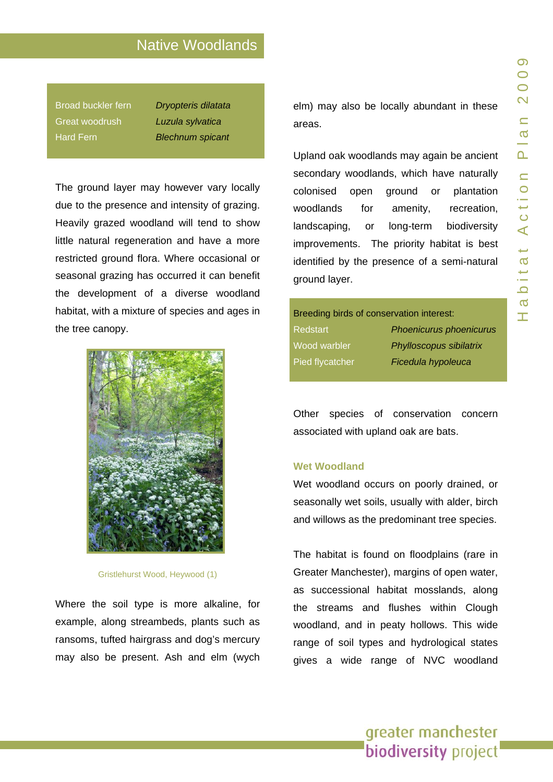Broad buckler fern *Dryopteris dilatata* Great woodrush *Luzula sylvatica*  Hard Fern *Blechnum spicant* 

The ground layer may however vary locally due to the presence and intensity of grazing. Heavily grazed woodland will tend to show little natural regeneration and have a more restricted ground flora. Where occasional or seasonal grazing has occurred it can benefit the development of a diverse woodland habitat, with a mixture of species and ages in the tree canopy.



Gristlehurst Wood, Heywood (1)

Where the soil type is more alkaline, for example, along streambeds, plants such as ransoms, tufted hairgrass and dog's mercury may also be present. Ash and elm (wych elm) may also be locally abundant in these areas.

Upland oak woodlands may again be ancient secondary woodlands, which have naturally colonised open ground or plantation woodlands for amenity, recreation, landscaping, or long-term biodiversity improvements. The priority habitat is best identified by the presence of a semi-natural ground layer.

Breeding birds of conservation interest: Redstart *Phoenicurus phoenicurus* Wood warbler *Phylloscopus sibilatrix* Pied flycatcher *Ficedula hypoleuca*

Other species of conservation concern associated with upland oak are bats.

#### **Wet Woodland**

Wet woodland occurs on poorly drained, or seasonally wet soils, usually with alder, birch and willows as the predominant tree species.

The habitat is found on floodplains (rare in Greater Manchester), margins of open water, as successional habitat mosslands, along the streams and flushes within Clough woodland, and in peaty hollows. This wide range of soil types and hydrological states gives a wide range of NVC woodland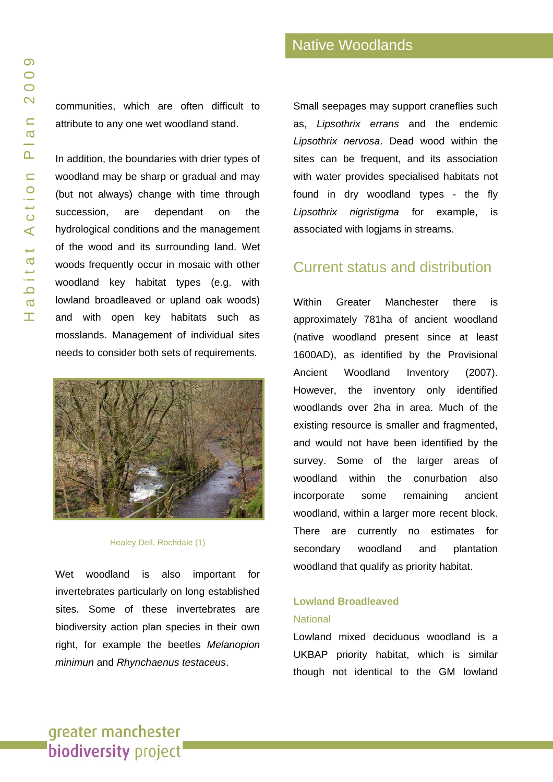communities, which are often difficult to attribute to any one wet woodland stand.

In addition, the boundaries with drier types of woodland may be sharp or gradual and may (but not always) change with time through succession, are dependant on the hydrological conditions and the management of the wood and its surrounding land. Wet woods frequently occur in mosaic with other woodland key habitat types (e.g. with lowland broadleaved or upland oak woods) and with open key habitats such as mosslands. Management of individual sites needs to consider both sets of requirements.



#### Healey Dell, Rochdale (1)

Wet woodland is also important for invertebrates particularly on long established sites. Some of these invertebrates are biodiversity action plan species in their own right, for example the beetles *Melanopion minimun* and *Rhynchaenus testaceus*.

Small seepages may support craneflies such as, *Lipsothrix errans* and the endemic *Lipsothrix nervosa*. Dead wood within the sites can be frequent, and its association with water provides specialised habitats not found in dry woodland types - the fly *Lipsothrix nigristigma* for example, is associated with logjams in streams.

### Current status and distribution

Within Greater Manchester there is approximately 781ha of ancient woodland (native woodland present since at least 1600AD), as identified by the Provisional Ancient Woodland Inventory (2007). However, the inventory only identified woodlands over 2ha in area. Much of the existing resource is smaller and fragmented, and would not have been identified by the survey. Some of the larger areas of woodland within the conurbation also incorporate some remaining ancient woodland, within a larger more recent block. There are currently no estimates for secondary woodland and plantation woodland that qualify as priority habitat.

#### **Lowland Broadleaved National**

Lowland mixed deciduous woodland is a UKBAP priority habitat, which is similar though not identical to the GM lowland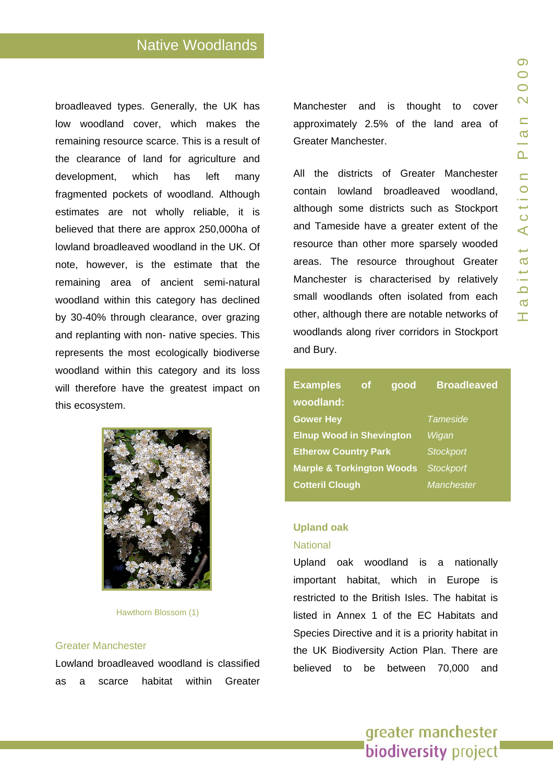broadleaved types. Generally, the UK has low woodland cover, which makes the remaining resource scarce. This is a result of the clearance of land for agriculture and development, which has left many fragmented pockets of woodland. Although estimates are not wholly reliable, it is believed that there are approx 250,000ha of lowland broadleaved woodland in the UK. Of note, however, is the estimate that the remaining area of ancient semi-natural woodland within this category has declined by 30-40% through clearance, over grazing and replanting with non- native species. This represents the most ecologically biodiverse woodland within this category and its loss will therefore have the greatest impact on this ecosystem.



Hawthorn Blossom (1)

#### Greater Manchester

Lowland broadleaved woodland is classified as a scarce habitat within Greater Manchester and is thought to cover approximately 2.5% of the land area of Greater Manchester.

All the districts of Greater Manchester contain lowland broadleaved woodland, although some districts such as Stockport and Tameside have a greater extent of the resource than other more sparsely wooded areas. The resource throughout Greater Manchester is characterised by relatively small woodlands often isolated from each other, although there are notable networks of woodlands along river corridors in Stockport and Bury.

| <b>Examples</b>                      | <b>of</b> | good  | <b>Broadleaved</b> |
|--------------------------------------|-----------|-------|--------------------|
| woodland:                            |           |       |                    |
| <b>Gower Hey</b>                     |           |       | Tameside           |
| <b>Elnup Wood in Shevington</b>      |           | Wigan |                    |
| <b>Etherow Country Park</b>          |           |       | <b>Stockport</b>   |
| <b>Marple &amp; Torkington Woods</b> |           |       | <b>Stockport</b>   |
| <b>Cotteril Clough</b>               |           |       | <b>Manchester</b>  |

#### **Upland oak**

#### **National**

Upland oak woodland is a nationally important habitat, which in Europe is restricted to the British Isles. The habitat is listed in Annex 1 of the EC Habitats and Species Directive and it is a priority habitat in the UK Biodiversity Action Plan. There are believed to be between 70,000 and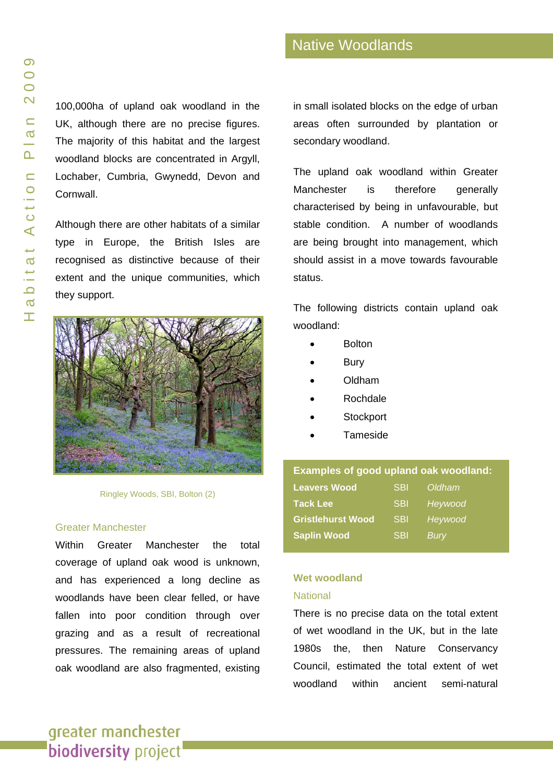100,000ha of upland oak woodland in the UK, although there are no precise figures. The majority of this habitat and the largest woodland blocks are concentrated in Argyll, Lochaber, Cumbria, Gwynedd, Devon and Cornwall.

Although there are other habitats of a similar type in Europe, the British Isles are recognised as distinctive because of their extent and the unique communities, which they support.



Ringley Woods, SBI, Bolton (2)

#### Greater Manchester

Within Greater Manchester the total coverage of upland oak wood is unknown, and has experienced a long decline as woodlands have been clear felled, or have fallen into poor condition through over grazing and as a result of recreational pressures. The remaining areas of upland oak woodland are also fragmented, existing in small isolated blocks on the edge of urban areas often surrounded by plantation or secondary woodland.

The upland oak woodland within Greater Manchester is therefore generally characterised by being in unfavourable, but stable condition. A number of woodlands are being brought into management, which should assist in a move towards favourable status.

The following districts contain upland oak woodland:

- Bolton
- **Bury**
- Oldham
- Rochdale
- **Stockport**
- Tameside

| <b>Examples of good upland oak woodland:</b> |            |         |
|----------------------------------------------|------------|---------|
| <b>Leavers Wood</b>                          | <b>SBI</b> | Oldham  |
| <b>Tack Lee</b>                              | <b>SBI</b> | Heywood |
| <b>Gristlehurst Wood</b>                     | <b>SBI</b> | Heywood |
| <b>Saplin Wood</b>                           | <b>SBI</b> | Burv    |

# **Wet woodland**

#### **National**

There is no precise data on the total extent of wet woodland in the UK, but in the late 1980s the, then Nature Conservancy Council, estimated the total extent of wet woodland within ancient semi-natural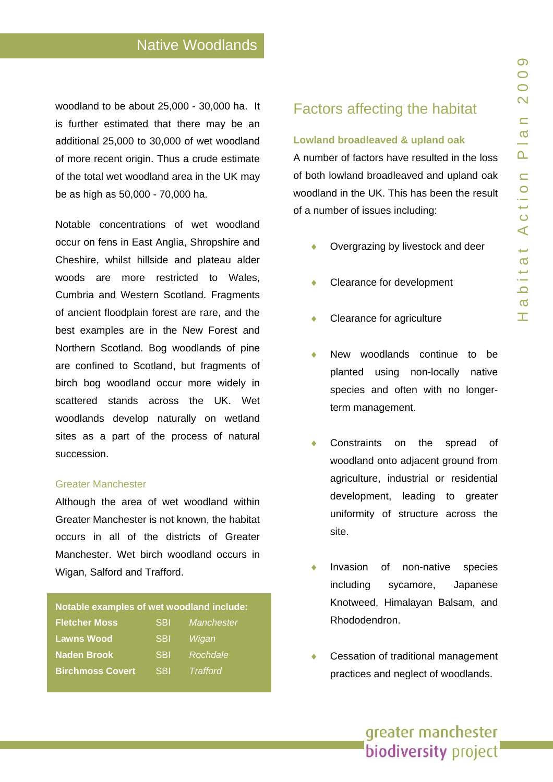woodland to be about 25,000 - 30,000 ha. It is further estimated that there may be an additional 25,000 to 30,000 of wet woodland of more recent origin. Thus a crude estimate of the total wet woodland area in the UK may be as high as 50,000 - 70,000 ha.

Notable concentrations of wet woodland occur on fens in East Anglia, Shropshire and Cheshire, whilst hillside and plateau alder woods are more restricted to Wales, Cumbria and Western Scotland. Fragments of ancient floodplain forest are rare, and the best examples are in the New Forest and Northern Scotland. Bog woodlands of pine are confined to Scotland, but fragments of birch bog woodland occur more widely in scattered stands across the UK. Wet woodlands develop naturally on wetland sites as a part of the process of natural succession.

#### Greater Manchester

l.

Although the area of wet woodland within Greater Manchester is not known, the habitat occurs in all of the districts of Greater Manchester. Wet birch woodland occurs in Wigan, Salford and Trafford.

| Notable examples of wet woodland include: |            |                 |  |
|-------------------------------------------|------------|-----------------|--|
| <b>Fletcher Moss</b>                      | <b>SBI</b> | Manchester      |  |
| <b>Lawns Wood</b>                         | <b>SBI</b> | Wigan           |  |
| <b>Naden Brook</b>                        | <b>SBI</b> | Rochdale        |  |
| <b>Birchmoss Covert</b>                   | <b>SBI</b> | <b>Trafford</b> |  |

# Factors affecting the habitat

#### **Lowland broadleaved & upland oak**

A number of factors have resulted in the loss of both lowland broadleaved and upland oak woodland in the UK. This has been the result of a number of issues including:

- Overgrazing by livestock and deer
- Clearance for development
- Clearance for agriculture
- New woodlands continue to be planted using non-locally native species and often with no longerterm management.
- Constraints on the spread of woodland onto adjacent ground from agriculture, industrial or residential development, leading to greater uniformity of structure across the site.
- Invasion of non-native species including sycamore, Japanese Knotweed, Himalayan Balsam, and Rhododendron.
- Cessation of traditional management practices and neglect of woodlands.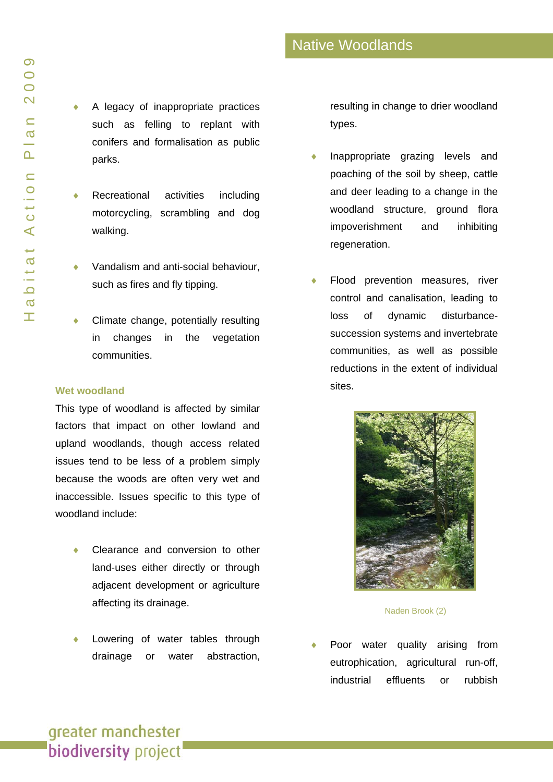- A legacy of inappropriate practices such as felling to replant with conifers and formalisation as public parks.
- Recreational activities including motorcycling, scrambling and dog walking.
- Vandalism and anti-social behaviour, such as fires and fly tipping.
- Climate change, potentially resulting in changes in the vegetation communities.

#### **Wet woodland**

This type of woodland is affected by similar factors that impact on other lowland and upland woodlands, though access related issues tend to be less of a problem simply because the woods are often very wet and inaccessible. Issues specific to this type of woodland include:

- Clearance and conversion to other land-uses either directly or through adjacent development or agriculture affecting its drainage.
- Lowering of water tables through drainage or water abstraction,

resulting in change to drier woodland types.

- Inappropriate grazing levels and poaching of the soil by sheep, cattle and deer leading to a change in the woodland structure, ground flora impoverishment and inhibiting regeneration.
- Flood prevention measures, river control and canalisation, leading to loss of dynamic disturbancesuccession systems and invertebrate communities, as well as possible reductions in the extent of individual sites.



Naden Brook (2)

Poor water quality arising from eutrophication, agricultural run-off, industrial effluents or rubbish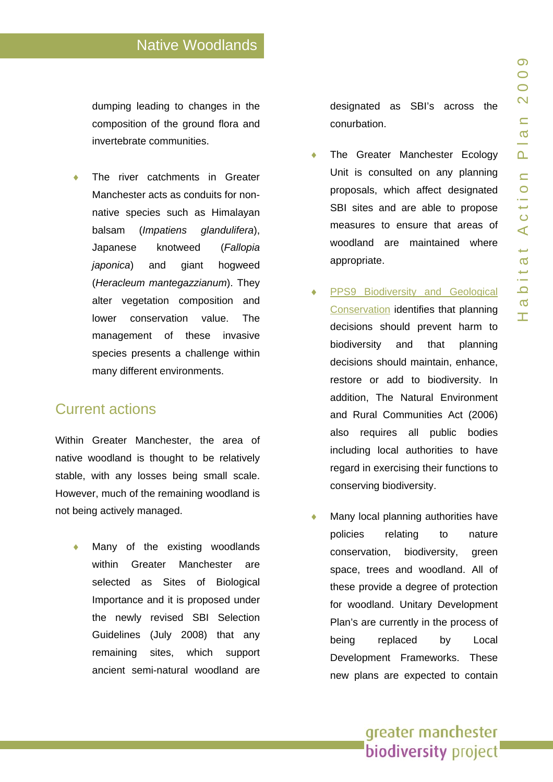dumping leading to changes in the composition of the ground flora and invertebrate communities.

The river catchments in Greater Manchester acts as conduits for nonnative species such as Himalayan balsam (*Impatiens glandulifera*), Japanese knotweed (*Fallopia japonica*) and giant hogweed (*Heracleum mantegazzianum*). They alter vegetation composition and lower conservation value. The management of these invasive species presents a challenge within many different environments.

# Current actions

Within Greater Manchester, the area of native woodland is thought to be relatively stable, with any losses being small scale. However, much of the remaining woodland is not being actively managed.

Many of the existing woodlands within Greater Manchester are selected as Sites of Biological Importance and it is proposed under the newly revised SBI Selection Guidelines (July 2008) that any remaining sites, which support ancient semi-natural woodland are designated as SBI's across the conurbation.

- The Greater Manchester Ecology Unit is consulted on any planning proposals, which affect designated SBI sites and are able to propose measures to ensure that areas of woodland are maintained where appropriate.
- PPS9 Biodiversity and Geological [Conservation](http://www.woodland-trust.org.uk/ancient-tree-forum/atfnews/images/PPS9final.pdf) identifies that planning decisions should prevent harm to biodiversity and that planning decisions should maintain, enhance, restore or add to biodiversity. In addition, The Natural Environment and Rural Communities Act (2006) also requires all public bodies including local authorities to have regard in exercising their functions to conserving biodiversity.
- Many local planning authorities have policies relating to nature conservation, biodiversity, green space, trees and woodland. All of these provide a degree of protection for woodland. Unitary Development Plan's are currently in the process of being replaced by Local Development Frameworks. These new plans are expected to contain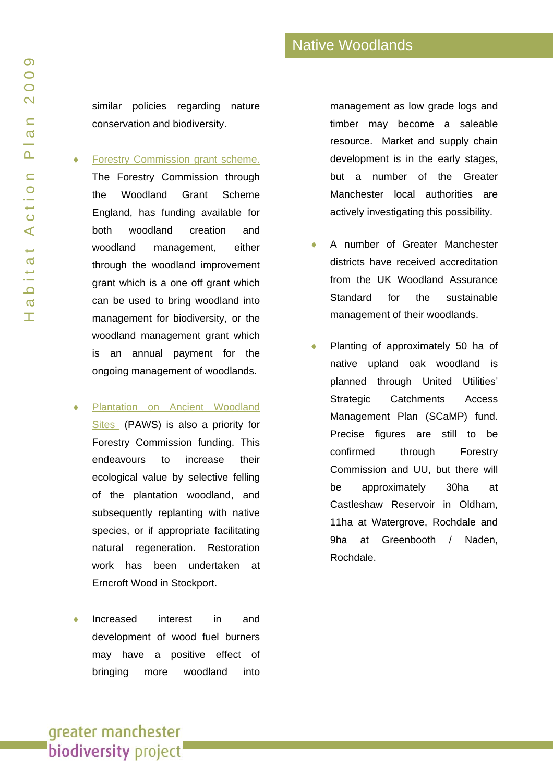similar policies regarding nature conservation and biodiversity.

#### **[Forestry Commission grant scheme.](http://www.forestry.gov.uk/ewgs)**

The Forestry Commission through the Woodland Grant Scheme England, has funding available for both woodland creation and woodland management, either through the woodland improvement grant which is a one off grant which can be used to bring woodland into management for biodiversity, or the woodland management grant which is an annual payment for the ongoing management of woodlands.

- Plantation on Ancient Woodland [Sites](http://www.woodland-trust.org.uk/campaigns/paws/paws.htm) (PAWS) is also a priority for Forestry Commission funding. This endeavours to increase their ecological value by selective felling of the plantation woodland, and subsequently replanting with native species, or if appropriate facilitating natural regeneration. Restoration work has been undertaken at Erncroft Wood in Stockport.
- Increased interest in and development of wood fuel burners may have a positive effect of bringing more woodland into

management as low grade logs and timber may become a saleable resource. Market and supply chain development is in the early stages, but a number of the Greater Manchester local authorities are actively investigating this possibility.

- A number of Greater Manchester districts have received accreditation from the UK Woodland Assurance Standard for the sustainable management of their woodlands.
- Planting of approximately 50 ha of native upland oak woodland is planned through United Utilities' Strategic Catchments Access Management Plan (SCaMP) fund. Precise figures are still to be confirmed through Forestry Commission and UU, but there will be approximately 30ha at Castleshaw Reservoir in Oldham, 11ha at Watergrove, Rochdale and 9ha at Greenbooth / Naden, Rochdale.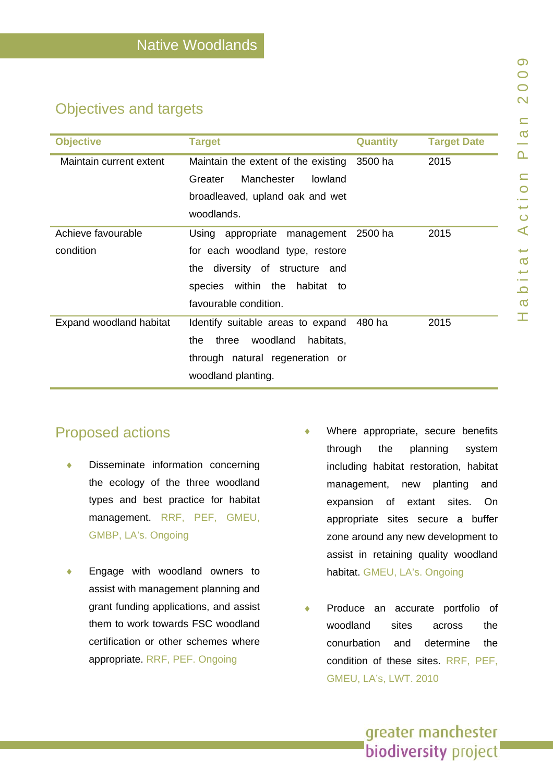# Objectives and targets

| <b>Objective</b>        | <b>Target</b>                           | <b>Quantity</b> | <b>Target Date</b> |
|-------------------------|-----------------------------------------|-----------------|--------------------|
| Maintain current extent | Maintain the extent of the existing     | 3500 ha         | 2015               |
|                         | Greater<br><b>Manchester</b><br>lowland |                 |                    |
|                         | broadleaved, upland oak and wet         |                 |                    |
|                         | woodlands.                              |                 |                    |
| Achieve favourable      | Using appropriate management            | 2500 ha         | 2015               |
| condition               | for each woodland type, restore         |                 |                    |
|                         | the diversity of structure and          |                 |                    |
|                         | species within the<br>habitat to        |                 |                    |
|                         | favourable condition.                   |                 |                    |
| Expand woodland habitat | Identify suitable areas to expand       | 480 ha          | 2015               |
|                         | woodland<br>the<br>three<br>habitats,   |                 |                    |
|                         | through natural regeneration or         |                 |                    |
|                         | woodland planting.                      |                 |                    |

# Proposed actions

- Disseminate information concerning the ecology of the three woodland types and best practice for habitat management. RRF, PEF, GMEU, GMBP, LA's. Ongoing
- ♦ Engage with woodland owners to assist with management planning and grant funding applications, and assist them to work towards FSC woodland certification or other schemes where appropriate. RRF, PEF. Ongoing
- Where appropriate, secure benefits through the planning system including habitat restoration, habitat management, new planting and expansion of extant sites. On appropriate sites secure a buffer zone around any new development to assist in retaining quality woodland habitat. GMEU, LA's. Ongoing
- Produce an accurate portfolio of woodland sites across the conurbation and determine the condition of these sites. RRF, PEF, GMEU, LA's, LWT. 2010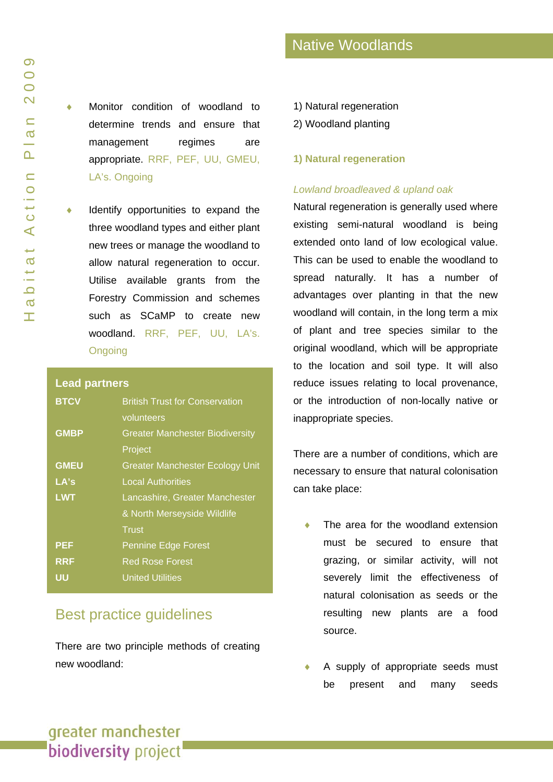Monitor condition of woodland to determine trends and ensure that management regimes are appropriate. RRF, PEF, UU, GMEU, LA's. Ongoing

Identify opportunities to expand the three woodland types and either plant new trees or manage the woodland to allow natural regeneration to occur. Utilise available grants from the Forestry Commission and schemes such as SCaMP to create new woodland. RRF, PEF, UU, LA's. **Ongoing** 

#### **Lead partners**

| <b>BTCV</b> | <b>British Trust for Conservation</b><br>volunteers |
|-------------|-----------------------------------------------------|
| <b>GMBP</b> | <b>Greater Manchester Biodiversity</b><br>Project   |
| <b>GMEU</b> | <b>Greater Manchester Ecology Unit</b>              |
| LA's        | <b>Local Authorities</b>                            |
| <b>LWT</b>  | Lancashire, Greater Manchester                      |
|             | & North Merseyside Wildlife                         |
|             | <b>Trust</b>                                        |
| <b>PEF</b>  | <b>Pennine Edge Forest</b>                          |
| <b>RRF</b>  | <b>Red Rose Forest</b>                              |
| UU          | <b>United Utilities</b>                             |

# Best practice guidelines

There are two principle methods of creating new woodland:

- Native Woodlands
- 1) Natural regeneration
- 2) Woodland planting

#### **1) Natural regeneration**

#### *Lowland broadleaved & upland oak*

Natural regeneration is generally used where existing semi-natural woodland is being extended onto land of low ecological value. This can be used to enable the woodland to spread naturally. It has a number of advantages over planting in that the new woodland will contain, in the long term a mix of plant and tree species similar to the original woodland, which will be appropriate to the location and soil type. It will also reduce issues relating to local provenance, or the introduction of non-locally native or inappropriate species.

There are a number of conditions, which are necessary to ensure that natural colonisation can take place:

- The area for the woodland extension must be secured to ensure that grazing, or similar activity, will not severely limit the effectiveness of natural colonisation as seeds or the resulting new plants are a food source.
- A supply of appropriate seeds must be present and many seeds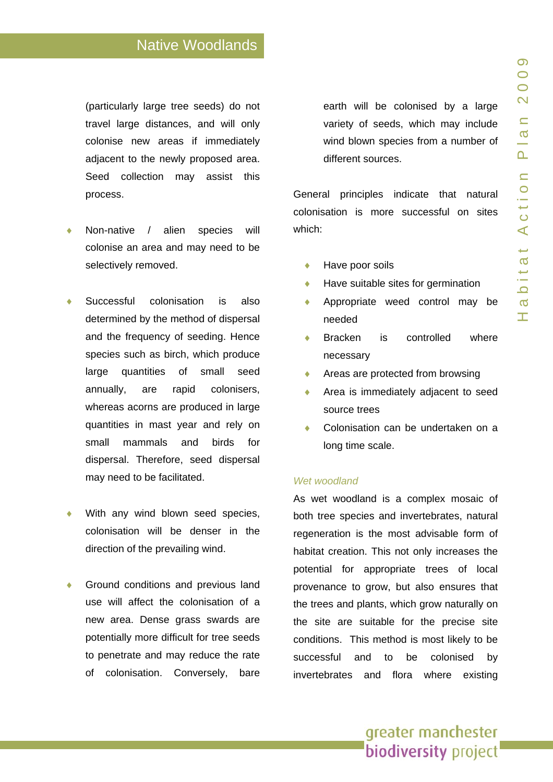(particularly large tree seeds) do not travel large distances, and will only colonise new areas if immediately adjacent to the newly proposed area. Seed collection may assist this process.

- Non-native / alien species will colonise an area and may need to be selectively removed.
- Successful colonisation is also determined by the method of dispersal and the frequency of seeding. Hence species such as birch, which produce large quantities of small seed annually, are rapid colonisers, whereas acorns are produced in large quantities in mast year and rely on small mammals and birds for dispersal. Therefore, seed dispersal may need to be facilitated.
- With any wind blown seed species, colonisation will be denser in the direction of the prevailing wind.
- Ground conditions and previous land use will affect the colonisation of a new area. Dense grass swards are potentially more difficult for tree seeds to penetrate and may reduce the rate of colonisation. Conversely, bare

earth will be colonised by a large variety of seeds, which may include wind blown species from a number of different sources.

General principles indicate that natural colonisation is more successful on sites which:

- ♦ Have poor soils
- ◆ Have suitable sites for germination
- ♦ Appropriate weed control may be needed
- **Bracken is controlled where** necessary
- Areas are protected from browsing
- ♦ Area is immediately adjacent to seed source trees
- Colonisation can be undertaken on a long time scale.

#### *Wet woodland*

As wet woodland is a complex mosaic of both tree species and invertebrates, natural regeneration is the most advisable form of habitat creation. This not only increases the potential for appropriate trees of local provenance to grow, but also ensures that the trees and plants, which grow naturally on the site are suitable for the precise site conditions. This method is most likely to be successful and to be colonised by invertebrates and flora where existing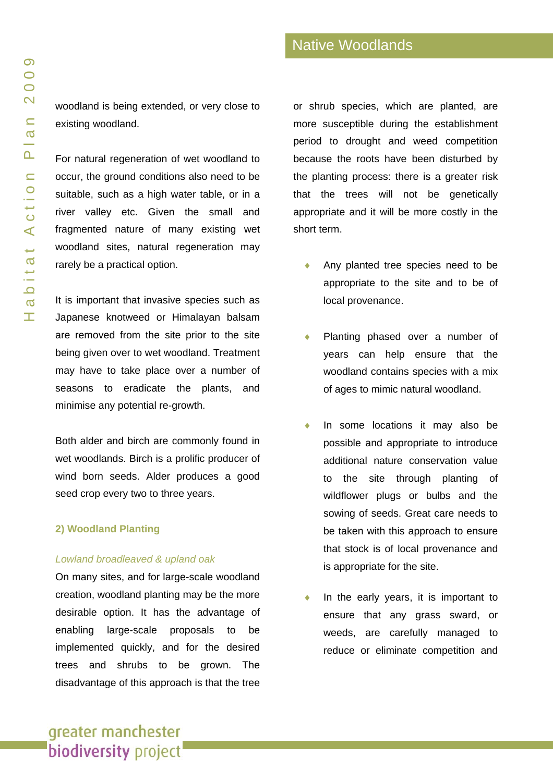woodland is being extended, or very close to existing woodland.

For natural regeneration of wet woodland to occur, the ground conditions also need to be suitable, such as a high water table, or in a river valley etc. Given the small and fragmented nature of many existing wet woodland sites, natural regeneration may rarely be a practical option.

It is important that invasive species such as Japanese knotweed or Himalayan balsam are removed from the site prior to the site being given over to wet woodland. Treatment may have to take place over a number of seasons to eradicate the plants, and minimise any potential re-growth.

Both alder and birch are commonly found in wet woodlands. Birch is a prolific producer of wind born seeds. Alder produces a good seed crop every two to three years.

#### **2) Woodland Planting**

#### *Lowland broadleaved & upland oak*

On many sites, and for large-scale woodland creation, woodland planting may be the more desirable option. It has the advantage of enabling large-scale proposals to be implemented quickly, and for the desired trees and shrubs to be grown. The disadvantage of this approach is that the tree

or shrub species, which are planted, are more susceptible during the establishment period to drought and weed competition because the roots have been disturbed by the planting process: there is a greater risk that the trees will not be genetically appropriate and it will be more costly in the short term.

- Any planted tree species need to be appropriate to the site and to be of local provenance.
- Planting phased over a number of years can help ensure that the woodland contains species with a mix of ages to mimic natural woodland.
- In some locations it may also be possible and appropriate to introduce additional nature conservation value to the site through planting of wildflower plugs or bulbs and the sowing of seeds. Great care needs to be taken with this approach to ensure that stock is of local provenance and is appropriate for the site.
- In the early years, it is important to ensure that any grass sward, or weeds, are carefully managed to reduce or eliminate competition and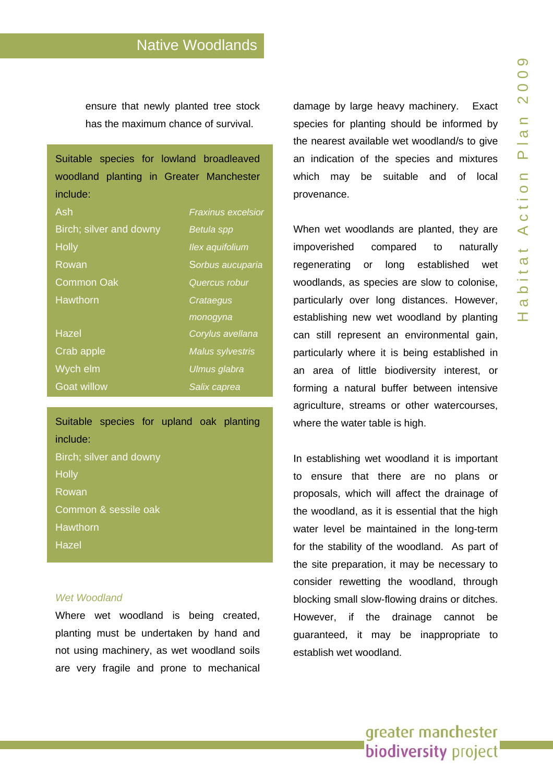ensure that newly planted tree stock has the maximum chance of survival.

| Suitable species for lowland broadleaved |                           |
|------------------------------------------|---------------------------|
| woodland planting in Greater Manchester  |                           |
| include:                                 |                           |
| Ash                                      | <b>Fraxinus excelsior</b> |
| Birch; silver and downy                  | Betula spp                |
| <b>Holly</b>                             | Ilex aquifolium           |
| Rowan                                    | Sorbus aucuparia          |
| Common Oak                               | Quercus robur             |
| Hawthorn                                 | Crataegus                 |
|                                          | monogyna                  |
| <b>Hazel</b>                             | Corylus avellana          |
| Crab apple                               | <b>Malus sylvestris</b>   |
| Wych elm                                 | <u>Ulmus glabra</u>       |
| <b>Goat willow</b>                       | Salix caprea              |

Suitable species for upland oak planting include: Birch; silver and downy **Holly** Rowan Common & sessile oak **Hawthorn** Hazel

#### *Wet Woodland*

Where wet woodland is being created, planting must be undertaken by hand and not using machinery, as wet woodland soils are very fragile and prone to mechanical

damage by large heavy machinery. Exact species for planting should be informed by the nearest available wet woodland/s to give an indication of the species and mixtures which may be suitable and of local provenance.

When wet woodlands are planted, they are impoverished compared to naturally regenerating or long established wet woodlands, as species are slow to colonise, particularly over long distances. However, establishing new wet woodland by planting can still represent an environmental gain, particularly where it is being established in an area of little biodiversity interest, or forming a natural buffer between intensive agriculture, streams or other watercourses, where the water table is high.

In establishing wet woodland it is important to ensure that there are no plans or proposals, which will affect the drainage of the woodland, as it is essential that the high water level be maintained in the long-term for the stability of the woodland. As part of the site preparation, it may be necessary to consider rewetting the woodland, through blocking small slow-flowing drains or ditches. However, if the drainage cannot be guaranteed, it may be inappropriate to establish wet woodland.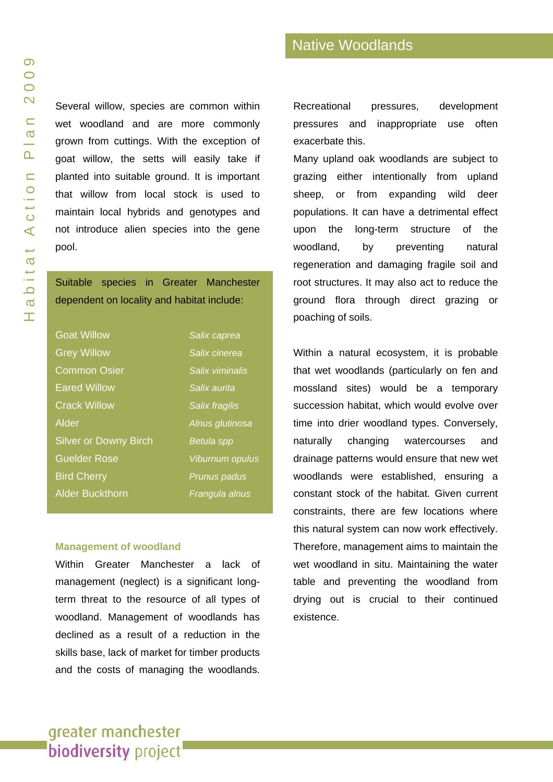Several willow, species are common within wet woodland and are more commonly grown from cuttings. With the exception of goat willow, the setts will easily take if planted into suitable ground. It is important that willow from local stock is used to maintain local hybrids and genotypes and not introduce alien species into the gene pool.

### Suitable species in Greater Manchester dependent on locality and habitat include:

| <b>Goat Willow</b>           | Salix caprea           |
|------------------------------|------------------------|
| <b>Grey Willow</b>           | Salix cinerea          |
| <b>Common Osier</b>          | Salix viminalis        |
| <b>Eared Willow</b>          | Salix aurita           |
| <b>Crack Willow</b>          | Salix fragilis         |
| Alder                        | Alnus glutinosa        |
| <b>Silver or Downy Birch</b> | <b>Betula spp</b>      |
| <b>Guelder Rose</b>          | <b>Viburnum opulus</b> |
| <b>Bird Cherry</b>           | Prunus padus           |
| <b>Alder Buckthorn</b>       | Frangula alnus         |

#### **Management of woodland**

Within Greater Manchester a lack of management (neglect) is a significant longterm threat to the resource of all types of woodland. Management of woodlands has declined as a result of a reduction in the skills base, lack of market for timber products and the costs of managing the woodlands.

Recreational pressures, development pressures and inappropriate use often exacerbate this.

Many upland oak woodlands are subject to grazing either intentionally from upland sheep, or from expanding wild deer populations. It can have a detrimental effect upon the long-term structure of the woodland, by preventing natural regeneration and damaging fragile soil and root structures. It may also act to reduce the ground flora through direct grazing or poaching of soils.

Within a natural ecosystem, it is probable that wet woodlands (particularly on fen and mossland sites) would be a temporary succession habitat, which would evolve over time into drier woodland types. Conversely, naturally changing watercourses and drainage patterns would ensure that new wet woodlands were established, ensuring a constant stock of the habitat. Given current constraints, there are few locations where this natural system can now work effectively. Therefore, management aims to maintain the wet woodland in situ. Maintaining the water table and preventing the woodland from drying out is crucial to their continued existence.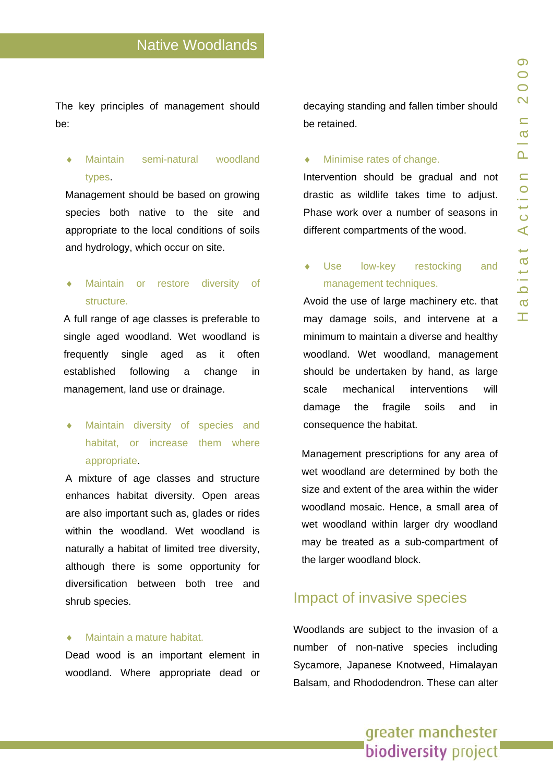The key principles of management should be:

### Maintain semi-natural woodland types.

Management should be based on growing species both native to the site and appropriate to the local conditions of soils and hydrology, which occur on site.

## Maintain or restore diversity of structure.

A full range of age classes is preferable to single aged woodland. Wet woodland is frequently single aged as it often established following a change in management, land use or drainage.

Maintain diversity of species and habitat, or increase them where appropriate.

A mixture of age classes and structure enhances habitat diversity. Open areas are also important such as, glades or rides within the woodland. Wet woodland is naturally a habitat of limited tree diversity, although there is some opportunity for diversification between both tree and shrub species.

#### Maintain a mature habitat.

Dead wood is an important element in woodland. Where appropriate dead or

decaying standing and fallen timber should be retained.

#### Minimise rates of change.

Intervention should be gradual and not drastic as wildlife takes time to adjust. Phase work over a number of seasons in different compartments of the wood.

### Use low-key restocking and management techniques.

Avoid the use of large machinery etc. that may damage soils, and intervene at a minimum to maintain a diverse and healthy woodland. Wet woodland, management should be undertaken by hand, as large scale mechanical interventions will damage the fragile soils and in consequence the habitat.

Management prescriptions for any area of wet woodland are determined by both the size and extent of the area within the wider woodland mosaic. Hence, a small area of wet woodland within larger dry woodland may be treated as a sub-compartment of the larger woodland block.

### Impact of invasive species

Woodlands are subject to the invasion of a number of non-native species including Sycamore, Japanese Knotweed, Himalayan Balsam, and Rhododendron. These can alter